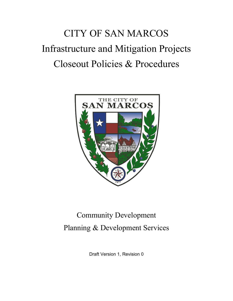# CITY OF SAN MARCOS Infrastructure and Mitigation Projects Closeout Policies & Procedures



## Community Development Planning & Development Services

Draft Version 1, Revision 0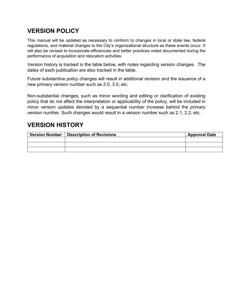## **VERSION POLICY**

This manual will be updated as necessary to conform to changes in local or state law, federal regulations, and material changes to the City's organizational structure as these events occur. It will also be revised to incorporate efficiencies and better practices noted documented during the performance of acquisition and relocation activities.

Version history is tracked in the table below, with notes regarding version changes. The dates of each publication are also tracked in the table.

Future substantive policy changes will result in additional revision and the issuance of a new primary version number such as 2.0, 3.0, etc.

Non-substantial changes, such as minor wording and editing or clarification of existing policy that do not affect the interpretation or applicability of the policy, will be included in minor version updates denoted by a sequential number increase behind the primary version number. Such changes would result in a version number such as 2.1, 2.2, etc.

## **VERSION HISTORY**

| Version Number   Description of Revisions | <b>Approval Date</b> |
|-------------------------------------------|----------------------|
|                                           |                      |
|                                           |                      |
|                                           |                      |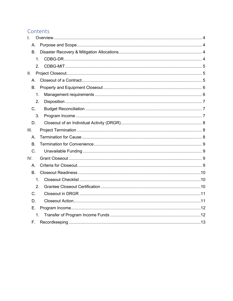### Contents

| $\overline{L}$ |
|----------------|
| $A_{\cdot}$    |
| <b>B.</b>      |
| 1 <sub>1</sub> |
| 2.             |
| II.            |
| Α.             |
| <b>B.</b>      |
| 1.             |
| 2.             |
| C <sub>1</sub> |
| 3.             |
| D.             |
| III.           |
| А.             |
| <b>B</b> .     |
| $C_{\cdot}$    |
| IV.            |
| A.             |
| B <sub>r</sub> |
| 1 <sub>1</sub> |
| 2.             |
| C.             |
| D.             |
| Ε.             |
| 1.             |
| Е.             |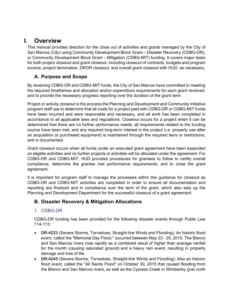## <span id="page-3-0"></span>**I. Overview**

This manual provides direction for the close out of activities and grants managed by the City of San Marcos (City) using Community Development Block Grant – Disaster Recovery (CDBG-DR), or Community Development Block Grant – Mitigation (CDBG-MIT) funding. It covers major tasks for both project closeout and grant closeout, including closeout of contracts, budgets and program income, project termination, DRGR closeout, and overall grant closeout with HUD, as necessary.

#### <span id="page-3-1"></span>**A. Purpose and Scope**

By receiving CDBG-DR and CDBG-MIT funds, the City of San Marcos have committed to meeting the required timeframes and allocation and/or expenditure requirements for each grant received, and to provide the necessary progress reporting over the duration of the grant term.

Project or activity closeout is the process the Planning and Development and Community Initiative program staff use to determine that all costs for a project paid with CDBG-DR or CDBG-MIT funds have been incurred and were reasonable and necessary, and all work has been completed in accordance to all applicable laws and regulations. Closeout occurs for a project when it can be determined that there are no further performance needs, all requirements related to the funding source have been met, and any required long-term interest in the project (i.e. property use after an acquisition or purchased equipment) is maintained through the required liens or restrictions, and is documented.

Grant closeout occurs when all funds under an executed grant agreement have been expended on eligible activities and no further projects or activities will be allocated under the agreement. For CDBG-DR and CDBG-MIT, HUD provides procedures for grantees to follow to certify overall compliance, determine the grantee met performance requirements, and to close the grant agreement.

It is important for program staff to manage the processes within this guidance for closeout as CDBG-DR and CDBG-MIT activities are completed in order to ensure all documentation and reporting are finalized and in compliance over the term of the grant, which also sets up the Planning and Development Department for the successful closeout of a grant agreement.

#### <span id="page-3-2"></span>**B. Disaster Recovery & Mitigation Allocations**

#### <span id="page-3-3"></span>1. CDBG-DR

CDBG-DR funding has been provided for the following disaster events through Public Law 114-113:

- **DR-4223** (Severe Storms, Tornadoes, Straight-line Winds and Flooding): An historic flood event, called the "Memorial Day Flood," occurred between May 23 - 25, 2015. The Blanco and San Marcos rivers rose rapidly as a combined result of higher than average rainfall for the month (causing saturated ground) and a heavy rain event, resulting in property damage and loss of life.
- **DR-4245** (Severe Storms, Tornadoes, Straight-line Winds and Flooding): Also an historic flood event, called the "All Saints Flood" on October 30, 2015 that caused flooding from the Blanco and San Marcos rivers, as well as the Cypress Creek in Wimberley (just north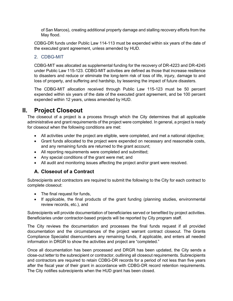of San Marcos), creating additional property damage and stalling recovery efforts from the May flood.

CDBG-DR funds under Public Law 114-113 must be expended within six years of the date of the executed grant agreement, unless amended by HUD.

#### <span id="page-4-0"></span>2. CDBG-MIT

CDBG-MIT was allocated as supplemental funding for the recovery of DR-4223 and DR-4245 under Public Law 115-123. CDBG-MIT activities are defined as those that increase resilience to disasters and reduce or eliminate the long-term risk of loss of life, injury, damage to and loss of property, and suffering and hardship, by lessening the impact of future disasters.

The CDBG-MIT allocation received through Public Law 115-123 must be 50 percent expended within six years of the date of the executed grant agreement, and be 100 percent expended within 12 years, unless amended by HUD.

## <span id="page-4-1"></span>**II. Project Closeout**

The closeout of a project is a process through which the City determines that all applicable administrative and grant requirements of the project were completed. In general, a project is ready for closeout when the following conditions are met:

- All activities under the project are eligible, were completed, and met a national objective;
- Grant funds allocated to the project were expended on necessary and reasonable costs, and any remaining funds are returned to the grant account;
- All reporting requirements were completed and submitted;
- Any special conditions of the grant were met; and
- All audit and monitoring issues affecting the project and/or grant were resolved.

#### <span id="page-4-2"></span>**A. Closeout of a Contract**

Subrecipients and contractors are required to submit the following to the City for each contract to complete closeout:

- The final request for funds,
- If applicable, the final products of the grant funding (planning studies, environmental review records, etc.), and

Subrecipients will provide documentation of beneficiaries served or benefited by project activities. Beneficiaries under contractor-based projects will be reported by City program staff.

The City reviews the documentation and processes the final funds request if all provided documentation and the circumstances of the project warrant contract closeout. The Grants Compliance Specialist disencumbers any remaining funds, if applicable, and enters all needed information in DRGR to show the activities and project are "completed."

Once all documentation has been processed and DRGR has been updated, the City sends a close-out letter to the subrecipient or contractor, outlining all closeout requirements. Subrecipients and contractors are required to retain CDBG-DR records for a period of not less than five years after the fiscal year of their grant in accordance with CDBG-DR record retention requirements. The City notifies subrecipients when the HUD grant has been closed.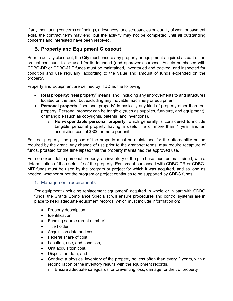If any monitoring concerns or findings, grievances, or discrepancies on quality of work or payment exist, the contract term may end, but the activity may not be completed until all outstanding concerns and interested have been resolved.

#### <span id="page-5-0"></span>**B. Property and Equipment Closeout**

Prior to activity close-out, the City must ensure any property or equipment acquired as part of the project continues to be used for its intended (and approved) purpose. Assets purchased with CDBG-DR or CDBG-MIT funds must be maintained, inventoried and tracked, and inspected for condition and use regularly, according to the value and amount of funds expended on the property.

Property and Equipment are defined by HUD as the following:

- **Real property:** "real property" means land, including any improvements to and structures located on the land, but excluding any movable machinery or equipment.
- **Personal property:** "personal property" is basically any kind of property other than real property. Personal property can be tangible (such as supplies, furniture, and equipment), or intangible (such as copyrights, patents, and inventions).
	- o **Non-expendable personal property**, which generally is considered to include tangible personal property having a useful life of more than 1 year and an acquisition cost of \$300 or more per unit

For real property, the purpose of the property must be maintained for the affordability period required by the grant. Any change of use prior to the grant-set terms, may require recapture of funds, prorated for the time lapsed that the property maintained the approved use.

For non-expendable personal property, an inventory of the purchase must be maintained, with a determination of the useful life of the property. Equipment purchased with CDBG-DR or CDBG-MIT funds must be used by the program or project for which it was acquired, and as long as needed, whether or not the program or project continues to be supported by CDBG funds.

#### <span id="page-5-1"></span>1. Management requirements

For equipment (including replacement equipment) acquired in whole or in part with CDBG funds, the Grants Compliance Specialist will ensure procedures and control systems are in place to keep adequate equipment records, which must include information on:

- Property description,
- Identification,
- Funding source (grant number),
- Title holder,
- Acquisition date and cost,
- Federal share of cost,
- Location, use, and condition,
- Unit acquisition cost,
- Disposition data, and
- Conduct a physical inventory of the property no less often than every 2 years, with a reconciliation of the inventory results with the equipment records.
	- o Ensure adequate safeguards for preventing loss, damage, or theft of property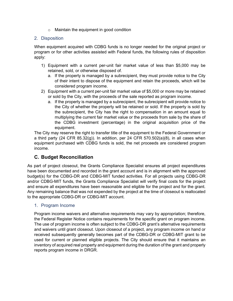o Maintain the equipment in good condition

#### <span id="page-6-0"></span>2. Disposition

When equipment acquired with CDBG funds is no longer needed for the original project or program or for other activities assisted with Federal funds, the following rules of disposition apply:

- 1) Equipment with a current per-unit fair market value of less than \$5,000 may be retained, sold, or otherwise disposed of.
	- a. If the property is managed by a subrecipient, they must provide notice to the City of their intent to dispose of the equipment and retain the proceeds, which will be considered program income.
- 2) Equipment with a current per-unit fair market value of \$5,000 or more may be retained or sold by the City, with the proceeds of the sale reported as program income.
	- a. If the property is managed by a subrecipient, the subrecipient will provide notice to the City of whether the property will be retained or sold. If the property is sold by the subrecipient, the City has the right to compensation in an amount equal to multiplying the current fair market value or the proceeds from sale by the share of the CDBG investment (percentage) in the original acquisition price of the equipment.

The City may reserve the right to transfer title of the equipment to the Federal Government or a third party (24 CFR  $85.32(g)$ ). In addition, per 24 CFR  $570.502(a)(8)$ , in all cases when equipment purchased with CDBG funds is sold, the net proceeds are considered program income.

#### <span id="page-6-1"></span>**C. Budget Reconciliation**

As part of project closeout, the Grants Compliance Specialist ensures all project expenditures have been documented and recorded in the grant account and is in alignment with the approved budget(s) for the CDBG-DR and CDBG-MIT funded activities. For all projects using CDBG-DR and/or CDBG-MIT funds, the Grants Compliance Specialist will verify final costs for the project and ensure all expenditures have been reasonable and eligible for the project and for the grant. Any remaining balance that was not expended by the project at the time of closeout is reallocated to the appropriate CDBG-DR or CDBG-MIT account.

#### <span id="page-6-2"></span>1. Program Income

Program income waivers and alternative requirements may vary by appropriation; therefore, the Federal Register Notice contains requirements for the specific grant on program income. The use of program income is often subject to the CDBG-DR grant's alternative requirements and waivers until grant closeout. Upon closeout of a project, any program income on hand or received subsequently generally becomes part of the CDBG-DR or CDBG-MIT grant to be used for current or planned eligible projects. The City should ensure that it maintains an inventory of acquired real property and equipment during the duration of the grant and properly reports program income in DRGR.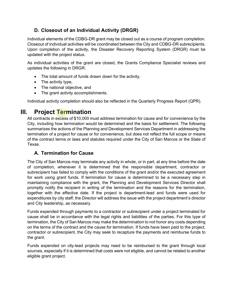#### <span id="page-7-0"></span>**D. Closeout of an Individual Activity (DRGR)**

Individual elements of the CDBG-DR grant may be closed out as a course of program completion. Closeout of individual activities will be coordinated between the City and CDBG-DR subrecipients. Upon completion of the activity, the Disaster Recovery Reporting System (DRGR) must be updated with the project status.

As individual activities of the grant are closed, the Grants Compliance Specialist reviews and updates the following in DRGR:

- The total amount of funds drawn down for the activity,
- The activity type.
- The national objective, and
- The grant activity accomplishments.

Individual activity completion should also be reflected in the Quarterly Progress Report (QPR).

## <span id="page-7-1"></span>**III. Project Termination**

All contracts in excess of \$10,000 must address termination for cause and for convenience by the City, including how termination would be determined and the basis for settlement. The following summarizes the actions of the Planning and Development Services Department in addressing the termination of a project for cause or for convenience, but does not reflect the full scope or means of the contract terms or laws and statutes required under the City of San Marcos or the State of Texas.

#### <span id="page-7-2"></span>**A. Termination for Cause**

The City of San Marcos may terminate any activity in whole, or in part, at any time before the date of completion, whenever it is determined that the responsible department, contractor or subrecipient has failed to comply with the conditions of the grant and/or the executed agreement for work using grant funds. If termination for cause is determined to be a necessary step in maintaining compliance with the grant, the Planning and Development Services Director shall promptly notify the recipient in writing of the termination and the reasons for the termination, together with the effective date. If the project is department-lead and funds were used for expenditures by city staff, the Director will address the issue with the project department's director and City leadership, as necessary.

Funds expended through payments to a contractor or subrecipient under a project terminated for cause shall be in accordance with the legal rights and liabilities of the parties. For this type of termination, the City of San Marcos may make the determination to not honor any costs depending on the terms of the contract and the cause for termination. If funds have been paid to the project, contractor or subrecipient, the City may seek to recapture the payments and reimburse funds to the grant.

Funds expended on city-lead projects may need to be reimbursed to the grant through local sources, especially if it is determined that costs were not eligible, and cannot be related to another eligible grant project.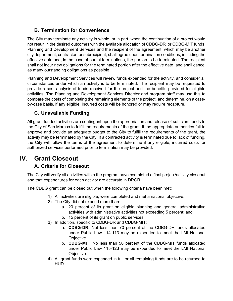#### <span id="page-8-0"></span>**B. Termination for Convenience**

The City may terminate any activity in whole, or in part, when the continuation of a project would not result in the desired outcomes with the available allocation of CDBG-DR or CDBG-MIT funds. Planning and Development Services and the recipient of the agreement, which may be another city department, contractor, or subrecipient, shall agree upon termination conditions, including the effective date and, in the case of partial terminations, the portion to be terminated. The recipient shall not incur new obligations for the terminated portion after the effective date, and shall cancel as many outstanding obligations as possible.

Planning and Development Services will review funds expended for the activity, and consider all circumstances under which an activity is to be terminated. The recipient may be requested to provide a cost analysis of funds received for the project and the benefits provided for eligible activities. The Planning and Development Services Director and program staff may use this to compare the costs of completing the remaining elements of the project, and determine, on a caseby-case basis, if any eligible, incurred costs will be honored or may require recapture.

#### <span id="page-8-1"></span>**C. Unavailable Funding**

All grant funded activities are contingent upon the appropriation and release of sufficient funds to the City of San Marcos to fulfill the requirements of the grant. If the appropriate authorities fail to approve and provide an adequate budget to the City to fulfill the requirements of the grant, the activity may be terminated by the City. If a contracted activity is terminated due to lack of funding, the City will follow the terms of the agreement to determine if any eligible, incurred costs for authorized services performed prior to termination may be provided.

## <span id="page-8-2"></span>**IV. Grant Closeout**

#### <span id="page-8-3"></span>**A. Criteria for Closeout**

The City will verify all activities within the program have completed a final project/activity closeout and that expenditures for each activity are accurate in DRGR.

The CDBG grant can be closed out when the following criteria have been met:

- 1) All activities are eligible, were completed and met a national objective.
- 2) The City did not expend more than:
	- a. 20 percent of its grant on eligible planning and general administrative activities with administrative activities not exceeding 5 percent; and
	- b. 15 percent of its grant on public services.
- 3) In addition, specific to CDBG-DR and CDBG-MIT:
	- a. **CDBG-DR:** Not less than 70 percent of the CDBG-DR funds allocated under Public Law 114-113 may be expended to meet the LMI National Objective.
	- b. **CDBG-MIT:** No less than 50 percent of the CDBG-MIT funds allocated under Public Law 115-123 may be expended to meet the LMI National Objective.
- 4) All grant funds were expended in full or all remaining funds are to be returned to HUD.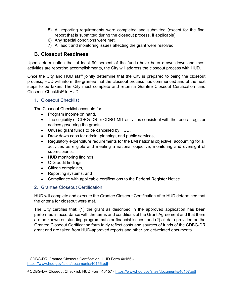- 5) All reporting requirements were completed and submitted (except for the final report that is submitted during the closeout process, if applicable)
- 6) Any special conditions were met.
- 7) All audit and monitoring issues affecting the grant were resolved.

#### <span id="page-9-0"></span>**B. Closeout Readiness**

Upon determination that at least 90 percent of the funds have been drawn down and most activities are reporting accomplishments, the City will address the closeout process with HUD.

Once the City and HUD staff jointly determine that the City is prepared to being the closeout process, HUD will inform the grantee that the closeout process has commenced and of the next steps to be taken. The City must complete and return a Grantee Closeout Certification<sup>[1](#page-9-3)</sup> and Closeout Checklist<sup>[2](#page-9-4)</sup> to HUD.

#### <span id="page-9-1"></span>1. Closeout Checklist

The Closeout Checklist accounts for:

- Program income on hand,
- The eligibility of CDBG-DR or CDBG-MIT activities consistent with the federal register notices governing the grants,
- Unused grant funds to be cancelled by HUD,
- Draw down caps for admin, planning, and public services,
- Regulatory expenditure requirements for the LMI national objective, accounting for all activities as eligible and meeting a national objective, monitoring and oversight of subrecipients,
- HUD monitoring findings,
- OIG audit findings,
- Citizen complaints,
- Reporting systems, and
- Compliance with applicable certifications to the Federal Register Notice.

#### <span id="page-9-2"></span>2. Grantee Closeout Certification

HUD will complete and execute the Grantee Closeout Certification after HUD determined that the criteria for closeout were met.

The City certifies that: (1) the grant as described in the approved application has been performed in accordance with the terms and conditions of the Grant Agreement and that there are no known outstanding programmatic or financial issues; and (2) all data provided on the Grantee Closeout Certification form fairly reflect costs and sources of funds of the CDBG-DR grant and are taken from HUD-approved reports and other project-related documents.

<span id="page-9-3"></span><sup>1</sup> CDBG-DR Grantee Closeout Certification, HUD Form 40156 <https://www.hud.gov/sites/documents/40156.pdf>

<span id="page-9-4"></span><sup>2</sup> CDBG-DR Closeout Checklist, HUD Form 40157 - <https://www.hud.gov/sites/documents/40157.pdf>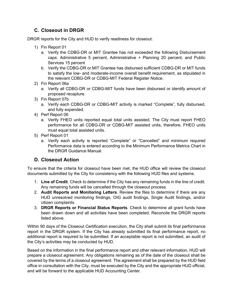#### <span id="page-10-0"></span>**C. Closeout in DRGR**

DRGR reports for the City and HUD to verify readiness for closeout:

- 1) Fin Report 01
	- a. Verify the CDBG-DR or MIT Grantee has not exceeded the following Disbursement caps: Administrative 5 percent, Administrative + Planning 20 percent, and Public Services 15 percent
	- b. Verify the CDBG-DR or MIT Grantee has disbursed sufficient CDBG-DR or MIT funds to satisfy the low- and moderate-income overall benefit requirement, as stipulated in the relevant CDBG-DR or CDBG-MIT Federal Register Notice.
- 2) Fin Report 06a
	- a. Verify all CDBG-DR or CDBG-MIT funds have been disbursed or identify amount of proposed recapture.
- 3) Fin Report 07b
	- a. Verify each CDBG-DR or CDBG-MIT activity is marked "Complete", fully disbursed, and fully expended.
- 4) Perf Report 06
	- a. Verify FHEO units reported equal total units assisted. The City must report FHEO performance for all CDBG-DR or CDBG-MIT assisted units, therefore, FHEO units must equal total assisted units.
- 5) Perf Report 01
	- a. Verify each activity is reported "Complete" or "Cancelled" and minimum required Performance data is entered according to the Minimum Performance Metrics Chart in the DRGR Guidance Manual.

#### <span id="page-10-1"></span>**D. Closeout Action**

To ensure that the criteria for closeout have been met, the HUD office will review the closeout documents submitted by the City for consistency with the following HUD files and systems.

- 1. **Line of Credit**. Check to determine if the City has any remaining funds in the line of credit. Any remaining funds will be cancelled through the closeout process.
- 2. **Audit Reports and Monitoring Letters**. Review the files to determine if there are any HUD unresolved monitoring findings, OIG audit findings, Single Audit findings, and/or citizen complaints.
- 3. **DRGR Reports or Financial Status Reports**. Check to determine all grant funds have been drawn down and all activities have been completed. Reconcile the DRGR reports listed above.

Within 90 days of the Closeout Certification execution, the City shall submit its final performance report in the DRGR system. If the City has already submitted its final performance report, no additional report is required to be submitted. If an acceptable report is not submitted, an audit of the City's activities may be conducted by HUD.

Based on the information in the final performance report and other relevant information, HUD will prepare a closeout agreement. Any obligations remaining as of the date of the closeout shall be covered by the terms of a closeout agreement. The agreement shall be prepared by the HUD field office in consultation with the City, must be executed by the City and the appropriate HUD official, and will be forward to the applicable HUD Accounting Center.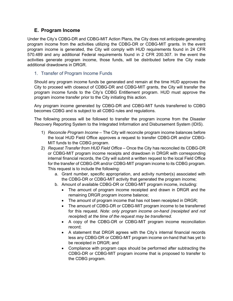#### <span id="page-11-0"></span>**E. Program Income**

Under the City's CDBG-DR and CDBG-MIT Action Plans, the City does not anticipate generating program income from the activities utilizing the CDBG-DR or CDBG-MIT grants. In the event program income is generated, the City will comply with HUD requirements found in 24 CFR 570.489 and any additional Federal requirements found in 2 CFR 200.307. In the event the activities generate program income, those funds, will be distributed before the City made additional drawdowns in DRGR.

#### <span id="page-11-1"></span>1. Transfer of Program Income Funds

Should any program income funds be generated and remain at the time HUD approves the City to proceed with closeout of CDBG-DR and CDBG-MIT grants, the City will transfer the program income funds to the City's CDBG Entitlement program. HUD must approve the program income transfer prior to the City initiating this action.

Any program income generated by CDBG-DR and CDBG-MIT funds transferred to CDBG becomes CDBG and is subject to all CDBG rules and regulations.

The following process will be followed to transfer the program income from the Disaster Recovery Reporting System to the Integrated Information and Disbursement System (IDIS).

- 1) *Reconcile Program Income* The City will reconcile program income balances before the local HUD Field Office approves a request to transfer CDBG-DR and/or CDBG-MIT funds to the CDBG program.
- 2) *Request Transfer from HUD Field Office* Once the City has reconciled its CDBG-DR or CDBG-MIT program income receipts and drawdown in DRGR with corresponding internal financial records, the City will submit a written request to the local Field Office for the transfer of CDBG-DR and/or CDBG-MIT program income to its CDBG program. This request is to include the following:
	- a. Grant number, specific appropriation, and activity number(s) associated with the CDBG-DR or CDBG-MIT activity that generated the program income;
	- b. Amount of available CDBG-DR or CDBG-MIT program income, including:
		- The amount of program income receipted and drawn in DRGR and the remaining DRGR program income balance;
		- The amount of program income that has not been receipted in DRGR;
		- The amount of CDBG-DR or CDBG-MIT program income to be transferred for this request. *Note: only program income on-hand (receipted and not receipted) at the time of the request may be transferred*.
		- A copy of the CDBG-DR or CDBG-MIT program income reconciliation record;
		- A statement that DRGR agrees with the City's internal financial records less any CDBG-DR or CDBG-MIT program income on-hand that has yet to be receipted in DRGR; and
		- Compliance with program caps should be performed after subtracting the CDBG-DR or CDBG-MIT program income that is proposed to transfer to the CDBG program.